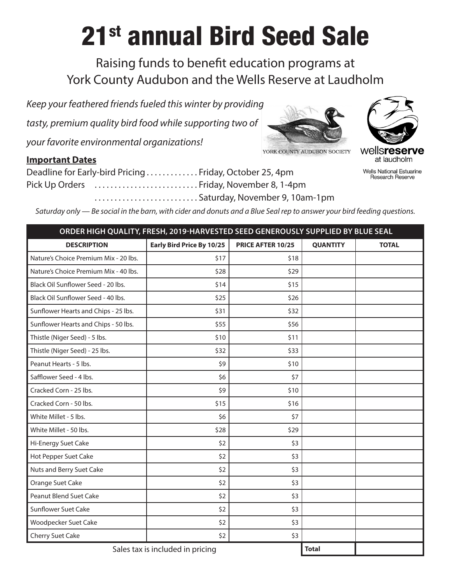## 21st annual Bird Seed Sale

Raising funds to benefit education programs at York County Audubon and the Wells Reserve at Laudholm

*Keep your feathered friends fueled this winter by providing* 

*tasty, premium quality bird food while supporting two of* 

*your favorite environmental organizations!*

## **Important Dates**

Deadline for Early-bird Pricing . . . . . . . . . . . . Friday, October 25, 4pm Pick Up Orders  $\dots\dots\dots\dots\dots\dots\dots\dots\dots$  . Friday, November 8, 1-4pm . . . . . . . . . . . . . . . . . . . . . . . . . Saturday, November 9, 10am-1pm

*Saturday only — Be social in the barn, with cider and donuts and a Blue Seal rep to answer your bird feeding questions.*

| ORDER HIGH QUALITY, FRESH, 2019-HARVESTED SEED GENEROUSLY SUPPLIED BY BLUE SEAL |                                  |                   |                 |              |  |
|---------------------------------------------------------------------------------|----------------------------------|-------------------|-----------------|--------------|--|
| <b>DESCRIPTION</b>                                                              | <b>Early Bird Price By 10/25</b> | PRICE AFTER 10/25 | <b>QUANTITY</b> | <b>TOTAL</b> |  |
| Nature's Choice Premium Mix - 20 lbs.                                           | \$17                             | \$18              |                 |              |  |
| Nature's Choice Premium Mix - 40 lbs.                                           | \$28                             | \$29              |                 |              |  |
| Black Oil Sunflower Seed - 20 lbs.                                              | \$14                             | \$15              |                 |              |  |
| Black Oil Sunflower Seed - 40 lbs.                                              | \$25                             | \$26              |                 |              |  |
| Sunflower Hearts and Chips - 25 lbs.                                            | \$31                             | \$32              |                 |              |  |
| Sunflower Hearts and Chips - 50 lbs.                                            | \$55                             | \$56              |                 |              |  |
| Thistle (Niger Seed) - 5 lbs.                                                   | \$10                             | \$11              |                 |              |  |
| Thistle (Niger Seed) - 25 lbs.                                                  | \$32                             | \$33              |                 |              |  |
| Peanut Hearts - 5 lbs.                                                          | \$9                              | \$10              |                 |              |  |
| Safflower Seed - 4 lbs.                                                         | \$6                              | \$7               |                 |              |  |
| Cracked Corn - 25 lbs.                                                          | \$9                              | \$10              |                 |              |  |
| Cracked Corn - 50 lbs.                                                          | \$15                             | \$16              |                 |              |  |
| White Millet - 5 lbs.                                                           | \$6                              | \$7               |                 |              |  |
| White Millet - 50 lbs.                                                          | \$28                             | \$29              |                 |              |  |
| Hi-Energy Suet Cake                                                             | \$2                              | \$3               |                 |              |  |
| Hot Pepper Suet Cake                                                            | \$2                              | \$3               |                 |              |  |
| Nuts and Berry Suet Cake                                                        | \$2                              | \$3               |                 |              |  |
| Orange Suet Cake                                                                | \$2                              | \$3               |                 |              |  |
| Peanut Blend Suet Cake                                                          | \$2                              | \$3               |                 |              |  |
| <b>Sunflower Suet Cake</b>                                                      | \$2                              | \$3               |                 |              |  |
| Woodpecker Suet Cake                                                            | \$2                              | \$3               |                 |              |  |
| Cherry Suet Cake                                                                | \$2                              | \$3               |                 |              |  |
| Sales tax is included in pricing                                                | <b>Total</b>                     |                   |                 |              |  |





Wells National Estuarine Research Reserve